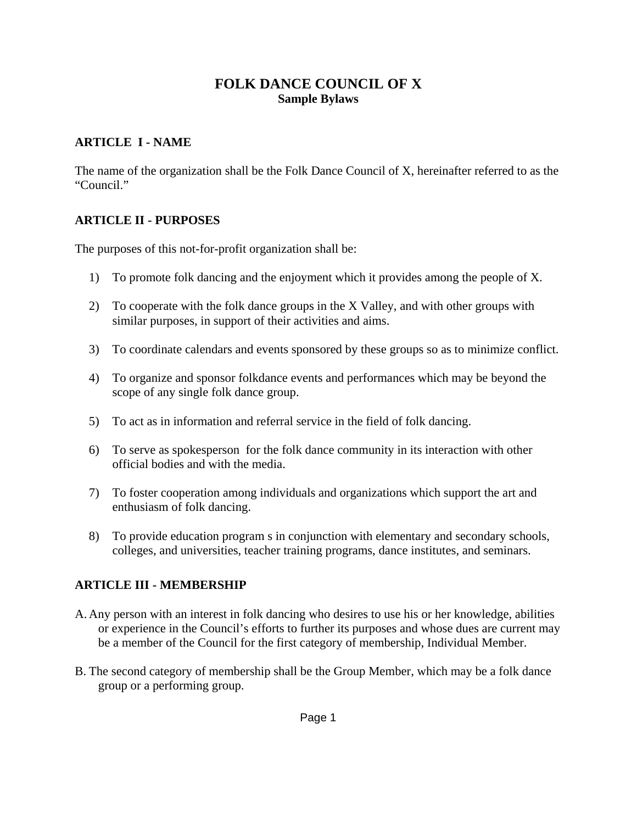# **FOLK DANCE COUNCIL OF X Sample Bylaws**

#### **ARTICLE I - NAME**

The name of the organization shall be the Folk Dance Council of X, hereinafter referred to as the "Council."

#### **ARTICLE II - PURPOSES**

The purposes of this not-for-profit organization shall be:

- 1) To promote folk dancing and the enjoyment which it provides among the people of X.
- 2) To cooperate with the folk dance groups in the X Valley, and with other groups with similar purposes, in support of their activities and aims.
- 3) To coordinate calendars and events sponsored by these groups so as to minimize conflict.
- 4) To organize and sponsor folkdance events and performances which may be beyond the scope of any single folk dance group.
- 5) To act as in information and referral service in the field of folk dancing.
- 6) To serve as spokesperson for the folk dance community in its interaction with other official bodies and with the media.
- 7) To foster cooperation among individuals and organizations which support the art and enthusiasm of folk dancing.
- 8) To provide education program s in conjunction with elementary and secondary schools, colleges, and universities, teacher training programs, dance institutes, and seminars.

## **ARTICLE III - MEMBERSHIP**

- A. Any person with an interest in folk dancing who desires to use his or her knowledge, abilities or experience in the Council's efforts to further its purposes and whose dues are current may be a member of the Council for the first category of membership, Individual Member.
- B. The second category of membership shall be the Group Member, which may be a folk dance group or a performing group.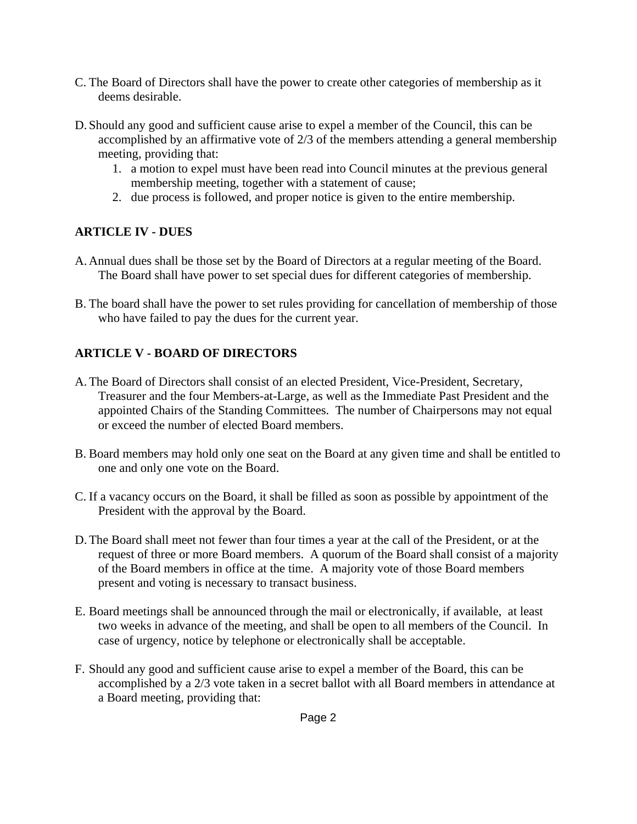- C. The Board of Directors shall have the power to create other categories of membership as it deems desirable.
- D. Should any good and sufficient cause arise to expel a member of the Council, this can be accomplished by an affirmative vote of 2/3 of the members attending a general membership meeting, providing that:
	- 1. a motion to expel must have been read into Council minutes at the previous general membership meeting, together with a statement of cause;
	- 2. due process is followed, and proper notice is given to the entire membership.

# **ARTICLE IV - DUES**

- A. Annual dues shall be those set by the Board of Directors at a regular meeting of the Board. The Board shall have power to set special dues for different categories of membership.
- B. The board shall have the power to set rules providing for cancellation of membership of those who have failed to pay the dues for the current year.

# **ARTICLE V - BOARD OF DIRECTORS**

- A. The Board of Directors shall consist of an elected President, Vice-President, Secretary, Treasurer and the four Members-at-Large, as well as the Immediate Past President and the appointed Chairs of the Standing Committees. The number of Chairpersons may not equal or exceed the number of elected Board members.
- B. Board members may hold only one seat on the Board at any given time and shall be entitled to one and only one vote on the Board.
- C. If a vacancy occurs on the Board, it shall be filled as soon as possible by appointment of the President with the approval by the Board.
- D. The Board shall meet not fewer than four times a year at the call of the President, or at the request of three or more Board members. A quorum of the Board shall consist of a majority of the Board members in office at the time. A majority vote of those Board members present and voting is necessary to transact business.
- E. Board meetings shall be announced through the mail or electronically, if available, at least two weeks in advance of the meeting, and shall be open to all members of the Council. In case of urgency, notice by telephone or electronically shall be acceptable.
- F. Should any good and sufficient cause arise to expel a member of the Board, this can be accomplished by a 2/3 vote taken in a secret ballot with all Board members in attendance at a Board meeting, providing that: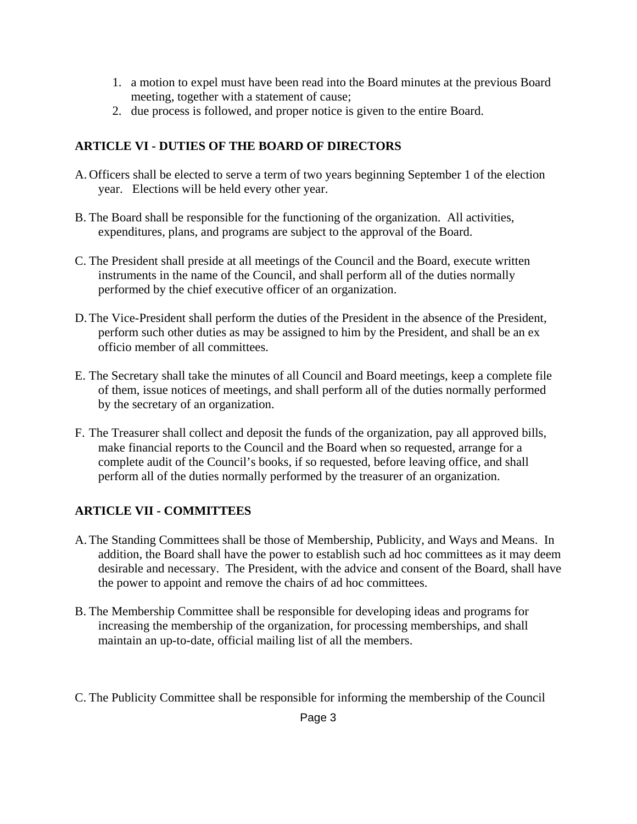- 1. a motion to expel must have been read into the Board minutes at the previous Board meeting, together with a statement of cause;
- 2. due process is followed, and proper notice is given to the entire Board.

## **ARTICLE VI - DUTIES OF THE BOARD OF DIRECTORS**

- A. Officers shall be elected to serve a term of two years beginning September 1 of the election year. Elections will be held every other year.
- B. The Board shall be responsible for the functioning of the organization. All activities, expenditures, plans, and programs are subject to the approval of the Board.
- C. The President shall preside at all meetings of the Council and the Board, execute written instruments in the name of the Council, and shall perform all of the duties normally performed by the chief executive officer of an organization.
- D. The Vice-President shall perform the duties of the President in the absence of the President, perform such other duties as may be assigned to him by the President, and shall be an ex officio member of all committees.
- E. The Secretary shall take the minutes of all Council and Board meetings, keep a complete file of them, issue notices of meetings, and shall perform all of the duties normally performed by the secretary of an organization.
- F. The Treasurer shall collect and deposit the funds of the organization, pay all approved bills, make financial reports to the Council and the Board when so requested, arrange for a complete audit of the Council's books, if so requested, before leaving office, and shall perform all of the duties normally performed by the treasurer of an organization.

## **ARTICLE VII - COMMITTEES**

- A. The Standing Committees shall be those of Membership, Publicity, and Ways and Means. In addition, the Board shall have the power to establish such ad hoc committees as it may deem desirable and necessary. The President, with the advice and consent of the Board, shall have the power to appoint and remove the chairs of ad hoc committees.
- B. The Membership Committee shall be responsible for developing ideas and programs for increasing the membership of the organization, for processing memberships, and shall maintain an up-to-date, official mailing list of all the members.
- C. The Publicity Committee shall be responsible for informing the membership of the Council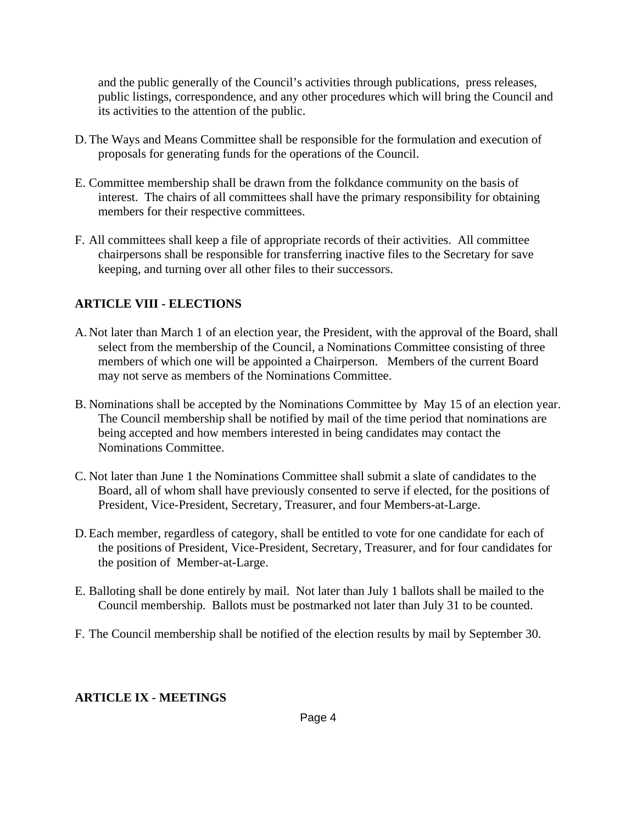and the public generally of the Council's activities through publications, press releases, public listings, correspondence, and any other procedures which will bring the Council and its activities to the attention of the public.

- D. The Ways and Means Committee shall be responsible for the formulation and execution of proposals for generating funds for the operations of the Council.
- E. Committee membership shall be drawn from the folkdance community on the basis of interest. The chairs of all committees shall have the primary responsibility for obtaining members for their respective committees.
- F. All committees shall keep a file of appropriate records of their activities. All committee chairpersons shall be responsible for transferring inactive files to the Secretary for save keeping, and turning over all other files to their successors.

## **ARTICLE VIII - ELECTIONS**

- A. Not later than March 1 of an election year, the President, with the approval of the Board, shall select from the membership of the Council, a Nominations Committee consisting of three members of which one will be appointed a Chairperson. Members of the current Board may not serve as members of the Nominations Committee.
- B. Nominations shall be accepted by the Nominations Committee by May 15 of an election year. The Council membership shall be notified by mail of the time period that nominations are being accepted and how members interested in being candidates may contact the Nominations Committee.
- C. Not later than June 1 the Nominations Committee shall submit a slate of candidates to the Board, all of whom shall have previously consented to serve if elected, for the positions of President, Vice-President, Secretary, Treasurer, and four Members-at-Large.
- D. Each member, regardless of category, shall be entitled to vote for one candidate for each of the positions of President, Vice-President, Secretary, Treasurer, and for four candidates for the position of Member-at-Large.
- E. Balloting shall be done entirely by mail. Not later than July 1 ballots shall be mailed to the Council membership. Ballots must be postmarked not later than July 31 to be counted.
- F. The Council membership shall be notified of the election results by mail by September 30.

#### **ARTICLE IX - MEETINGS**